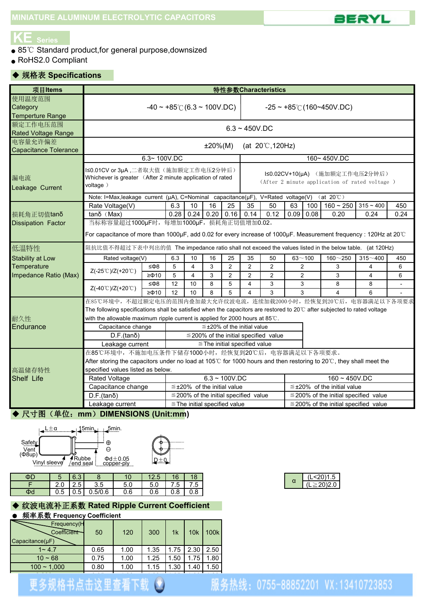

# **KE Series**

- 85℃ Standard product, for general purpose, downsized
- RoHS2.0 Compliant

#### ◆ 规格表 **Specifications**

| 项目Items                                       | 特性参数Characteristics                                                                                                       |                                        |                                                                                                                                                                                                                                                                                                                                                                                                                                                                                                                                                                                                                                                                                                                                                                                                                                                                                          |    |                                      |                                   |                                            |                                            |                                                                                   |  |                                            |     |      |  |  |
|-----------------------------------------------|---------------------------------------------------------------------------------------------------------------------------|----------------------------------------|------------------------------------------------------------------------------------------------------------------------------------------------------------------------------------------------------------------------------------------------------------------------------------------------------------------------------------------------------------------------------------------------------------------------------------------------------------------------------------------------------------------------------------------------------------------------------------------------------------------------------------------------------------------------------------------------------------------------------------------------------------------------------------------------------------------------------------------------------------------------------------------|----|--------------------------------------|-----------------------------------|--------------------------------------------|--------------------------------------------|-----------------------------------------------------------------------------------|--|--------------------------------------------|-----|------|--|--|
| 使用温度范围<br>Category<br><b>Temperture Range</b> |                                                                                                                           | $-40 \sim +85^{\circ}$ (6.3 ~ 100V.DC) |                                                                                                                                                                                                                                                                                                                                                                                                                                                                                                                                                                                                                                                                                                                                                                                                                                                                                          |    | $-25 \sim +85^{\circ}$ (160~450V.DC) |                                   |                                            |                                            |                                                                                   |  |                                            |     |      |  |  |
| 额定工作电压范围<br><b>Rated Voltage Range</b>        | $6.3 - 450V$ .DC                                                                                                          |                                        |                                                                                                                                                                                                                                                                                                                                                                                                                                                                                                                                                                                                                                                                                                                                                                                                                                                                                          |    |                                      |                                   |                                            |                                            |                                                                                   |  |                                            |     |      |  |  |
| 电容量允许偏差<br><b>Capacitance Tolerance</b>       |                                                                                                                           |                                        |                                                                                                                                                                                                                                                                                                                                                                                                                                                                                                                                                                                                                                                                                                                                                                                                                                                                                          |    | $±20\%(M)$                           |                                   |                                            | (at $20^{\circ}$ C, 120Hz)                 |                                                                                   |  |                                            |     |      |  |  |
|                                               | $6.3 - 100V$ .DC                                                                                                          |                                        |                                                                                                                                                                                                                                                                                                                                                                                                                                                                                                                                                                                                                                                                                                                                                                                                                                                                                          |    |                                      |                                   |                                            | 160~450V.DC                                |                                                                                   |  |                                            |     |      |  |  |
| 漏电流<br>Leakage Current                        | voltage)                                                                                                                  |                                        | I≤0.01CV or 3µA,二者取大值(施加额定工作电压2分钟后)<br>I≤0.02CV+10(µA) (施加额定工作电压2分钟后)<br>Whichever is greater (After 2 minute application of rated<br>(After 2 minute application of rated voltage )<br>Note: I=Max, leakage current (µA), C=Nominal capacitance(µF), V=Rated voltage(V) (at 20°C)<br>$160 \sim 250$ 315 ~ 400<br>10<br>16<br>25<br>35<br>50<br>63<br>6.3<br>100<br>$0.28$ 0.24 0.20 0.16 0.14<br>0.12<br>0.09 0.08<br>0.20<br>0.24<br>当标称容量超过1000μF时, 每增加1000μF, 损耗角正切值增加0.02。<br>阻抗比值不得超过下表中列出的值 The impedance ratio shall not exceed the values listed in the below table. (at 120Hz)<br>25<br>35<br>$63 - 100$<br>$160 - 250$<br>$315 - 400$<br>6.3<br>10<br>16<br>50<br>5<br>3<br>$\overline{2}$<br>$\overline{c}$<br>$\overline{2}$<br>$\overline{2}$<br>3<br>$\overline{4}$<br>4<br>5<br>3<br>$\overline{2}$<br>$\overline{2}$<br>$\overline{2}$<br>2<br>3<br>$\overline{4}$<br>4 |    |                                      |                                   |                                            |                                            |                                                                                   |  |                                            |     |      |  |  |
|                                               |                                                                                                                           |                                        |                                                                                                                                                                                                                                                                                                                                                                                                                                                                                                                                                                                                                                                                                                                                                                                                                                                                                          |    |                                      |                                   |                                            |                                            |                                                                                   |  |                                            |     |      |  |  |
|                                               | Rate Voltage(V)                                                                                                           |                                        |                                                                                                                                                                                                                                                                                                                                                                                                                                                                                                                                                                                                                                                                                                                                                                                                                                                                                          |    |                                      |                                   |                                            |                                            |                                                                                   |  |                                            |     | 450  |  |  |
| 损耗角正切值tanδ                                    | $tan\delta$ (Max)                                                                                                         |                                        |                                                                                                                                                                                                                                                                                                                                                                                                                                                                                                                                                                                                                                                                                                                                                                                                                                                                                          |    |                                      |                                   |                                            |                                            |                                                                                   |  |                                            |     | 0.24 |  |  |
| <b>Dissipation Factor</b>                     |                                                                                                                           |                                        |                                                                                                                                                                                                                                                                                                                                                                                                                                                                                                                                                                                                                                                                                                                                                                                                                                                                                          |    |                                      |                                   |                                            |                                            |                                                                                   |  |                                            |     |      |  |  |
|                                               | For capacitance of more than 1000µF, add 0.02 for every increase of 1000µF. Measurement frequency : 120Hz at 20°C         |                                        |                                                                                                                                                                                                                                                                                                                                                                                                                                                                                                                                                                                                                                                                                                                                                                                                                                                                                          |    |                                      |                                   |                                            |                                            |                                                                                   |  |                                            |     |      |  |  |
| 低温特性                                          |                                                                                                                           |                                        |                                                                                                                                                                                                                                                                                                                                                                                                                                                                                                                                                                                                                                                                                                                                                                                                                                                                                          |    |                                      |                                   |                                            |                                            |                                                                                   |  |                                            |     |      |  |  |
| <b>Stability at Low</b>                       | Rated voltage(V)                                                                                                          |                                        |                                                                                                                                                                                                                                                                                                                                                                                                                                                                                                                                                                                                                                                                                                                                                                                                                                                                                          |    |                                      |                                   |                                            |                                            |                                                                                   |  |                                            | 450 |      |  |  |
| Temperature                                   | Z(-25℃)/Z(+20℃)                                                                                                           | ≤Φ8                                    |                                                                                                                                                                                                                                                                                                                                                                                                                                                                                                                                                                                                                                                                                                                                                                                                                                                                                          |    |                                      |                                   |                                            |                                            |                                                                                   |  |                                            |     | 6    |  |  |
| Impedance Ratio (Max)                         |                                                                                                                           | $\geq$ $\Phi$ 10                       |                                                                                                                                                                                                                                                                                                                                                                                                                                                                                                                                                                                                                                                                                                                                                                                                                                                                                          |    |                                      |                                   |                                            |                                            |                                                                                   |  |                                            |     | 6    |  |  |
|                                               |                                                                                                                           | ≤Φ8                                    | 12                                                                                                                                                                                                                                                                                                                                                                                                                                                                                                                                                                                                                                                                                                                                                                                                                                                                                       | 10 | 8                                    | 5                                 | 4                                          | 3                                          |                                                                                   |  | 8                                          | 8   |      |  |  |
|                                               | $Z(-40^{\circ}$ C)/Z(+20 $^{\circ}$ C)                                                                                    | $\geq 0.10$                            | 12                                                                                                                                                                                                                                                                                                                                                                                                                                                                                                                                                                                                                                                                                                                                                                                                                                                                                       | 10 | 8                                    | 5                                 | 4                                          | 3                                          |                                                                                   |  | 4                                          | 6   |      |  |  |
|                                               |                                                                                                                           |                                        |                                                                                                                                                                                                                                                                                                                                                                                                                                                                                                                                                                                                                                                                                                                                                                                                                                                                                          |    |                                      |                                   |                                            |                                            |                                                                                   |  |                                            |     |      |  |  |
|                                               | The following specifications shall be satisfied when the capacitors are restored to 20°C after subjected to rated voltage |                                        |                                                                                                                                                                                                                                                                                                                                                                                                                                                                                                                                                                                                                                                                                                                                                                                                                                                                                          |    |                                      |                                   |                                            |                                            |                                                                                   |  |                                            |     |      |  |  |
| 耐久性                                           | with the allowable maximum ripple current is applied for 2000 hours at $85^{\circ}$ .                                     |                                        |                                                                                                                                                                                                                                                                                                                                                                                                                                                                                                                                                                                                                                                                                                                                                                                                                                                                                          |    |                                      |                                   |                                            |                                            |                                                                                   |  |                                            |     |      |  |  |
| Endurance                                     | Capacitance change                                                                                                        |                                        |                                                                                                                                                                                                                                                                                                                                                                                                                                                                                                                                                                                                                                                                                                                                                                                                                                                                                          |    |                                      |                                   | $\leq$ ±20% of the initial value           |                                            |                                                                                   |  |                                            |     |      |  |  |
|                                               | $D.F.(tan\delta)$                                                                                                         |                                        |                                                                                                                                                                                                                                                                                                                                                                                                                                                                                                                                                                                                                                                                                                                                                                                                                                                                                          |    |                                      |                                   |                                            | $\leq$ 200% of the initial specified value | $\mathsf 3$<br>3<br>在85℃环境中,不超过额定电压的范围内叠加最大允许纹波电流,连续加载2000小时,经恢复到20℃后,电容器满足以下各项要求 |  |                                            |     |      |  |  |
|                                               | Leakage current                                                                                                           |                                        |                                                                                                                                                                                                                                                                                                                                                                                                                                                                                                                                                                                                                                                                                                                                                                                                                                                                                          |    |                                      |                                   |                                            | $\le$ The initial specified value          |                                                                                   |  |                                            |     |      |  |  |
|                                               | 在85℃环境中,不施加电压条件下储存1000小时,经恢复到20℃后,电容器满足以下各项要求。                                                                            |                                        |                                                                                                                                                                                                                                                                                                                                                                                                                                                                                                                                                                                                                                                                                                                                                                                                                                                                                          |    |                                      |                                   |                                            |                                            |                                                                                   |  |                                            |     |      |  |  |
|                                               | After storing the capacitors under no load at 105℃ for 1000 hours and then restoring to 20℃, they shall meet the          |                                        |                                                                                                                                                                                                                                                                                                                                                                                                                                                                                                                                                                                                                                                                                                                                                                                                                                                                                          |    |                                      |                                   |                                            |                                            |                                                                                   |  |                                            |     |      |  |  |
| 高温储存特性                                        | specified values listed as below.                                                                                         |                                        |                                                                                                                                                                                                                                                                                                                                                                                                                                                                                                                                                                                                                                                                                                                                                                                                                                                                                          |    |                                      |                                   |                                            |                                            |                                                                                   |  |                                            |     |      |  |  |
| Shelf Life                                    | Rated Voltage                                                                                                             |                                        |                                                                                                                                                                                                                                                                                                                                                                                                                                                                                                                                                                                                                                                                                                                                                                                                                                                                                          |    |                                      | $6.3 - 100V$ .DC                  |                                            |                                            | $160 - 450V$ .DC                                                                  |  |                                            |     |      |  |  |
|                                               | Capacitance change                                                                                                        |                                        |                                                                                                                                                                                                                                                                                                                                                                                                                                                                                                                                                                                                                                                                                                                                                                                                                                                                                          |    |                                      | $\leq$ ±20% of the initial value  |                                            |                                            |                                                                                   |  | $\leq$ ±20% of the initial value           |     |      |  |  |
|                                               | $D.F.(tan\delta)$                                                                                                         |                                        |                                                                                                                                                                                                                                                                                                                                                                                                                                                                                                                                                                                                                                                                                                                                                                                                                                                                                          |    |                                      |                                   | $\leq$ 200% of the initial specified value |                                            |                                                                                   |  | $\leq$ 200% of the initial specified value |     |      |  |  |
|                                               | Leakage current                                                                                                           |                                        |                                                                                                                                                                                                                                                                                                                                                                                                                                                                                                                                                                                                                                                                                                                                                                                                                                                                                          |    |                                      | $\le$ The initial specified value |                                            |                                            |                                                                                   |  | $\leq$ 200% of the initial specified value |     |      |  |  |
|                                               |                                                                                                                           |                                        |                                                                                                                                                                                                                                                                                                                                                                                                                                                                                                                                                                                                                                                                                                                                                                                                                                                                                          |    |                                      |                                   |                                            |                                            |                                                                                   |  |                                            |     |      |  |  |

#### ◆ 尺寸图(单位: mm) DIMENSIONS (Unit:mm)



| i<br><del>ጠ</del>                 |      |
|-----------------------------------|------|
| ⊖                                 |      |
| $\Phi$ d $\pm$ 0.05<br>copper-ply | ∶D±Q |

| $\Phi$ |            | $\sim$ $\sim$<br>∪.∪ |                      | 10             | 40 <sup>2</sup><br>. 4. J | 16  | 18  | ` <20)1.ປ<br>$\sim$           |
|--------|------------|----------------------|----------------------|----------------|---------------------------|-----|-----|-------------------------------|
|        | റ റ<br>Z.U | ت. ک                 | $\sim$ $\sim$<br>u.u | $ \sim$<br>v.v | ว.บ                       | ٠   |     | w<br>$\geq$ 20)2.0 $^{\circ}$ |
| Φd     | 0.5        | ገዳዘ<br>∪.∪           | 0.5/0.6              | 0.6            | 0.6                       | 0.8 | 0.8 |                               |

### ◆ 纹波电流补正系数 **Rated Ripple Current Coefficient**

#### ● 频率系数 **Frequency Coefficient**

| 2.30<br>1.35<br>1.75<br>2.50<br>1.00<br>0.65<br>$1 - 4.7$<br>.50<br>1.80<br>1.75<br>0.75<br>1.00<br>1.25<br>$10 - 68$<br>1.15<br>.30<br>.50<br>0.80<br>1.00<br>$100 - 1,000$<br>. 40 | $\sim$<br>$F$ requency( $H$<br>Coefficient<br>$Capacitance(\mu F)$ | 50 | 120 | 300 | 1 <sub>k</sub> | 10k | 100k |
|--------------------------------------------------------------------------------------------------------------------------------------------------------------------------------------|--------------------------------------------------------------------|----|-----|-----|----------------|-----|------|
|                                                                                                                                                                                      |                                                                    |    |     |     |                |     |      |
|                                                                                                                                                                                      |                                                                    |    |     |     |                |     |      |
|                                                                                                                                                                                      |                                                                    |    |     |     |                |     |      |

更多规格书点击这里查看下载 3

| L<20)1.5  |
|-----------|
| $>$ 20)20 |

服务热线: 0755-88852201 VX:13410723853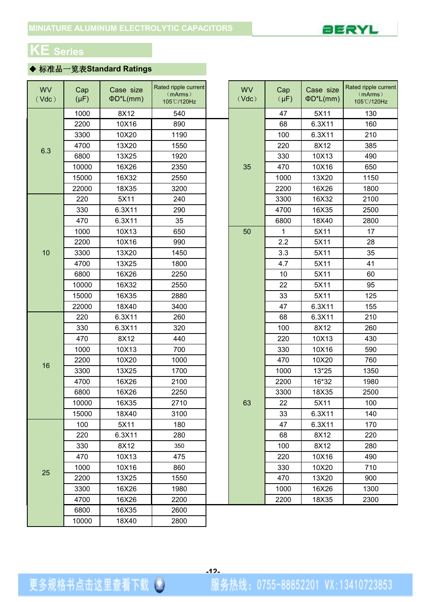

# **KE Series**

## ◆ 标准品一览表**Standard Ratings**

| <b>WV</b><br>(Vdc) | Cap<br>$(\mu F)$ | Case size<br>$\Phi D^*L(mm)$ | Rated ripple current<br>(mArms)<br>105°C/120Hz |  | <b>WV</b><br>(Vdc) | Cap<br>$(\mu F)$ | Case size<br>$\Phi D^*L$ (mm) | Rated ripple current<br>(mArms)<br>105°C/120Hz |
|--------------------|------------------|------------------------------|------------------------------------------------|--|--------------------|------------------|-------------------------------|------------------------------------------------|
|                    | 1000             | 8X12                         | 540                                            |  |                    | 47               | 5X11                          | 130                                            |
|                    | 2200             | 10X16                        | 890                                            |  |                    | 68               | 6.3X11                        | 160                                            |
|                    | 3300             | 10X20                        | 1190                                           |  |                    | 100              | 6.3X11                        | 210                                            |
|                    | 4700             | 13X20                        | 1550                                           |  |                    | 220              | 8X12                          | 385                                            |
| 6.3                | 6800             | 13X25                        | 1920                                           |  |                    | 330              | 10X13                         | 490                                            |
|                    | 10000            | 16X26                        | 2350                                           |  | 35                 | 470              | 10X16                         | 650                                            |
|                    | 15000            | 16X32                        | 2550                                           |  |                    | 1000             | 13X20                         | 1150                                           |
|                    | 22000            | 18X35                        | 3200                                           |  |                    | 2200             | 16X26                         | 1800                                           |
|                    | 220              | 5X11                         | 240                                            |  |                    | 3300             | 16X32                         | 2100                                           |
|                    | 330              | 6.3X11                       | 290                                            |  |                    | 4700             | 16X35                         | 2500                                           |
|                    | 470              | 6.3X11                       | 35                                             |  |                    | 6800             | 18X40                         | 2800                                           |
|                    | 1000             | 10X13                        | 650                                            |  | 50                 | $\mathbf 1$      | 5X11                          | 17                                             |
|                    | 2200             | 10X16                        | 990                                            |  |                    | 2.2              | 5X11                          | 28                                             |
| 10                 | 3300             | 13X20                        | 1450                                           |  |                    | 3.3              | 5X11                          | 35                                             |
|                    | 4700             | 13X25                        | 1800                                           |  |                    | 4.7              | 5X11                          | 41                                             |
|                    | 6800             | 16X26                        | 2250                                           |  |                    | 10               | 5X11                          | 60                                             |
|                    | 10000            | 16X32                        | 2550                                           |  |                    | 22               | 5X11                          | 95                                             |
|                    | 15000            | 16X35                        | 2880                                           |  |                    | 33               | 5X11                          | 125                                            |
|                    | 22000            | 18X40                        | 3400                                           |  |                    | 47               | 6.3X11                        | 155                                            |
|                    | 220              | 6.3X11                       | 260                                            |  |                    | 68               | 6.3X11                        | 210                                            |
|                    | 330              | 6.3X11                       | 320                                            |  |                    | 100              | 8X12                          | 260                                            |
|                    | 470              | 8X12                         | 440                                            |  |                    | 220              | 10X13                         | 430                                            |
|                    | 1000             | 10X13                        | 700                                            |  |                    | 330              | 10X16                         | 590                                            |
| 16                 | 2200             | 10X20                        | 1000                                           |  |                    | 470              | 10X20                         | 760                                            |
|                    | 3300             | 13X25                        | 1700                                           |  |                    | 1000             | 13*25                         | 1350                                           |
|                    | 4700             | 16X26                        | 2100                                           |  |                    | 2200             | 16*32                         | 1980                                           |
|                    | 6800             | 16X26                        | 2250                                           |  |                    | 3300             | 18X35                         | 2500                                           |
|                    | 10000            | 16X35                        | 2710                                           |  | 63                 | 22               | 5X11                          | 100                                            |
|                    | 15000            | 18X40                        | 3100                                           |  |                    | 33               | 6.3X11                        | 140                                            |
|                    | 100              | 5X11                         | 180                                            |  |                    | 47               | 6.3X11                        | 170                                            |
|                    | 220              | 6.3X11                       | 280                                            |  |                    | 68               | 8X12                          | 220                                            |
|                    | 330              | 8X12                         | 350                                            |  |                    | 100              | 8X12                          | 280                                            |
|                    | 470              | 10X13                        | 475                                            |  |                    | 220              | 10X16                         | 490                                            |
| 25                 | 1000             | 10X16                        | 860                                            |  |                    | 330              | 10X20                         | 710                                            |
|                    | 2200             | 13X25                        | 1550                                           |  |                    | 470              | 13X20                         | 900                                            |
|                    | 3300             | 16X26                        | 1980                                           |  |                    | 1000             | 16X26                         | 1300                                           |
|                    | 4700             | 16X26                        | 2200                                           |  |                    | 2200             | 18X35                         | 2300                                           |
|                    | 6800             | 16X35                        | 2600                                           |  |                    |                  |                               |                                                |
|                    | 10000            | 18X40                        | 2800                                           |  |                    |                  |                               |                                                |